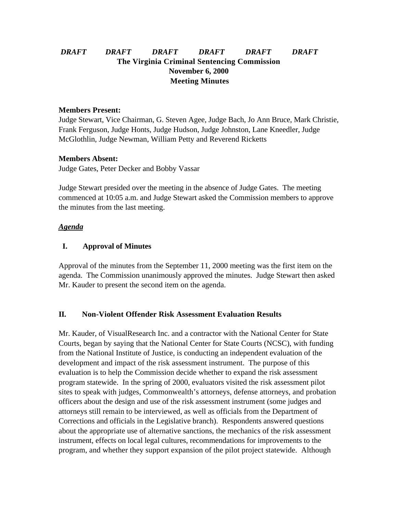# *DRAFT DRAFT DRAFT DRAFT DRAFT DRAFT* **The Virginia Criminal Sentencing Commission November 6, 2000 Meeting Minutes**

## **Members Present:**

Judge Stewart, Vice Chairman, G. Steven Agee, Judge Bach, Jo Ann Bruce, Mark Christie, Frank Ferguson, Judge Honts, Judge Hudson, Judge Johnston, Lane Kneedler, Judge McGlothlin, Judge Newman, William Petty and Reverend Ricketts

#### **Members Absent:**

Judge Gates, Peter Decker and Bobby Vassar

Judge Stewart presided over the meeting in the absence of Judge Gates. The meeting commenced at 10:05 a.m. and Judge Stewart asked the Commission members to approve the minutes from the last meeting.

#### *Agenda*

## **I. Approval of Minutes**

Approval of the minutes from the September 11, 2000 meeting was the first item on the agenda. The Commission unanimously approved the minutes. Judge Stewart then asked Mr. Kauder to present the second item on the agenda.

## **II. Non-Violent Offender Risk Assessment Evaluation Results**

Mr. Kauder, of VisualResearch Inc. and a contractor with the National Center for State Courts, began by saying that the National Center for State Courts (NCSC), with funding from the National Institute of Justice, is conducting an independent evaluation of the development and impact of the risk assessment instrument. The purpose of this evaluation is to help the Commission decide whether to expand the risk assessment program statewide. In the spring of 2000, evaluators visited the risk assessment pilot sites to speak with judges, Commonwealth's attorneys, defense attorneys, and probation officers about the design and use of the risk assessment instrument (some judges and attorneys still remain to be interviewed, as well as officials from the Department of Corrections and officials in the Legislative branch). Respondents answered questions about the appropriate use of alternative sanctions, the mechanics of the risk assessment instrument, effects on local legal cultures, recommendations for improvements to the program, and whether they support expansion of the pilot project statewide. Although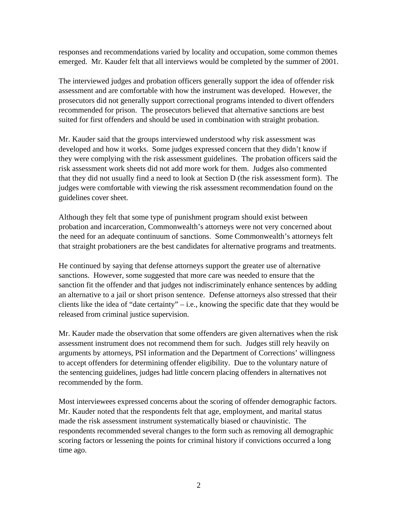responses and recommendations varied by locality and occupation, some common themes emerged. Mr. Kauder felt that all interviews would be completed by the summer of 2001.

The interviewed judges and probation officers generally support the idea of offender risk assessment and are comfortable with how the instrument was developed. However, the prosecutors did not generally support correctional programs intended to divert offenders recommended for prison. The prosecutors believed that alternative sanctions are best suited for first offenders and should be used in combination with straight probation.

Mr. Kauder said that the groups interviewed understood why risk assessment was developed and how it works. Some judges expressed concern that they didn't know if they were complying with the risk assessment guidelines. The probation officers said the risk assessment work sheets did not add more work for them. Judges also commented that they did not usually find a need to look at Section D (the risk assessment form). The judges were comfortable with viewing the risk assessment recommendation found on the guidelines cover sheet.

Although they felt that some type of punishment program should exist between probation and incarceration, Commonwealth's attorneys were not very concerned about the need for an adequate continuum of sanctions. Some Commonwealth's attorneys felt that straight probationers are the best candidates for alternative programs and treatments.

He continued by saying that defense attorneys support the greater use of alternative sanctions. However, some suggested that more care was needed to ensure that the sanction fit the offender and that judges not indiscriminately enhance sentences by adding an alternative to a jail or short prison sentence. Defense attorneys also stressed that their clients like the idea of "date certainty" – i.e., knowing the specific date that they would be released from criminal justice supervision.

Mr. Kauder made the observation that some offenders are given alternatives when the risk assessment instrument does not recommend them for such. Judges still rely heavily on arguments by attorneys, PSI information and the Department of Corrections' willingness to accept offenders for determining offender eligibility. Due to the voluntary nature of the sentencing guidelines, judges had little concern placing offenders in alternatives not recommended by the form.

Most interviewees expressed concerns about the scoring of offender demographic factors. Mr. Kauder noted that the respondents felt that age, employment, and marital status made the risk assessment instrument systematically biased or chauvinistic. The respondents recommended several changes to the form such as removing all demographic scoring factors or lessening the points for criminal history if convictions occurred a long time ago.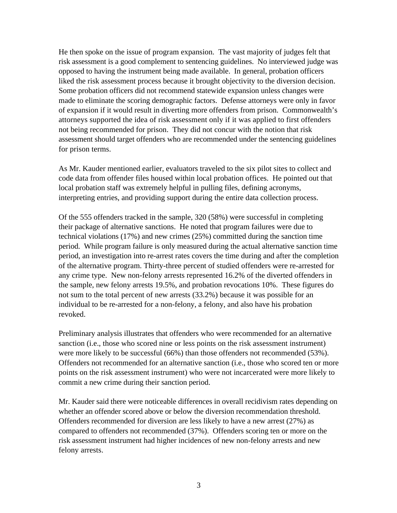He then spoke on the issue of program expansion. The vast majority of judges felt that risk assessment is a good complement to sentencing guidelines. No interviewed judge was opposed to having the instrument being made available. In general, probation officers liked the risk assessment process because it brought objectivity to the diversion decision. Some probation officers did not recommend statewide expansion unless changes were made to eliminate the scoring demographic factors. Defense attorneys were only in favor of expansion if it would result in diverting more offenders from prison. Commonwealth's attorneys supported the idea of risk assessment only if it was applied to first offenders not being recommended for prison. They did not concur with the notion that risk assessment should target offenders who are recommended under the sentencing guidelines for prison terms.

As Mr. Kauder mentioned earlier, evaluators traveled to the six pilot sites to collect and code data from offender files housed within local probation offices. He pointed out that local probation staff was extremely helpful in pulling files, defining acronyms, interpreting entries, and providing support during the entire data collection process.

Of the 555 offenders tracked in the sample, 320 (58%) were successful in completing their package of alternative sanctions. He noted that program failures were due to technical violations (17%) and new crimes (25%) committed during the sanction time period. While program failure is only measured during the actual alternative sanction time period, an investigation into re-arrest rates covers the time during and after the completion of the alternative program. Thirty-three percent of studied offenders were re-arrested for any crime type. New non-felony arrests represented 16.2% of the diverted offenders in the sample, new felony arrests 19.5%, and probation revocations 10%. These figures do not sum to the total percent of new arrests (33.2%) because it was possible for an individual to be re-arrested for a non-felony, a felony, and also have his probation revoked.

Preliminary analysis illustrates that offenders who were recommended for an alternative sanction (i.e., those who scored nine or less points on the risk assessment instrument) were more likely to be successful (66%) than those offenders not recommended (53%). Offenders not recommended for an alternative sanction (i.e., those who scored ten or more points on the risk assessment instrument) who were not incarcerated were more likely to commit a new crime during their sanction period.

Mr. Kauder said there were noticeable differences in overall recidivism rates depending on whether an offender scored above or below the diversion recommendation threshold. Offenders recommended for diversion are less likely to have a new arrest (27%) as compared to offenders not recommended (37%). Offenders scoring ten or more on the risk assessment instrument had higher incidences of new non-felony arrests and new felony arrests.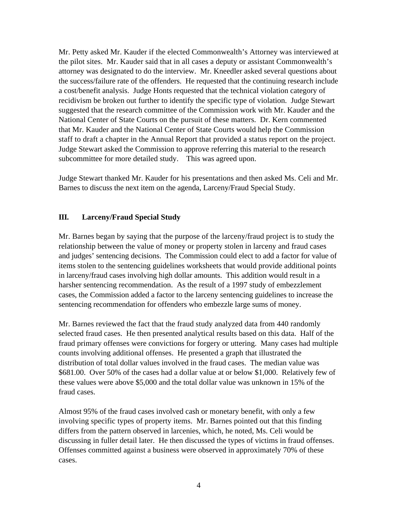Mr. Petty asked Mr. Kauder if the elected Commonwealth's Attorney was interviewed at the pilot sites. Mr. Kauder said that in all cases a deputy or assistant Commonwealth's attorney was designated to do the interview. Mr. Kneedler asked several questions about the success/failure rate of the offenders. He requested that the continuing research include a cost/benefit analysis. Judge Honts requested that the technical violation category of recidivism be broken out further to identify the specific type of violation. Judge Stewart suggested that the research committee of the Commission work with Mr. Kauder and the National Center of State Courts on the pursuit of these matters. Dr. Kern commented that Mr. Kauder and the National Center of State Courts would help the Commission staff to draft a chapter in the Annual Report that provided a status report on the project. Judge Stewart asked the Commission to approve referring this material to the research subcommittee for more detailed study. This was agreed upon.

Judge Stewart thanked Mr. Kauder for his presentations and then asked Ms. Celi and Mr. Barnes to discuss the next item on the agenda, Larceny/Fraud Special Study.

# **III. Larceny/Fraud Special Study**

Mr. Barnes began by saying that the purpose of the larceny/fraud project is to study the relationship between the value of money or property stolen in larceny and fraud cases and judges' sentencing decisions. The Commission could elect to add a factor for value of items stolen to the sentencing guidelines worksheets that would provide additional points in larceny/fraud cases involving high dollar amounts. This addition would result in a harsher sentencing recommendation. As the result of a 1997 study of embezzlement cases, the Commission added a factor to the larceny sentencing guidelines to increase the sentencing recommendation for offenders who embezzle large sums of money.

Mr. Barnes reviewed the fact that the fraud study analyzed data from 440 randomly selected fraud cases. He then presented analytical results based on this data. Half of the fraud primary offenses were convictions for forgery or uttering. Many cases had multiple counts involving additional offenses. He presented a graph that illustrated the distribution of total dollar values involved in the fraud cases. The median value was \$681.00. Over 50% of the cases had a dollar value at or below \$1,000. Relatively few of these values were above \$5,000 and the total dollar value was unknown in 15% of the fraud cases.

Almost 95% of the fraud cases involved cash or monetary benefit, with only a few involving specific types of property items. Mr. Barnes pointed out that this finding differs from the pattern observed in larcenies, which, he noted, Ms. Celi would be discussing in fuller detail later. He then discussed the types of victims in fraud offenses. Offenses committed against a business were observed in approximately 70% of these cases.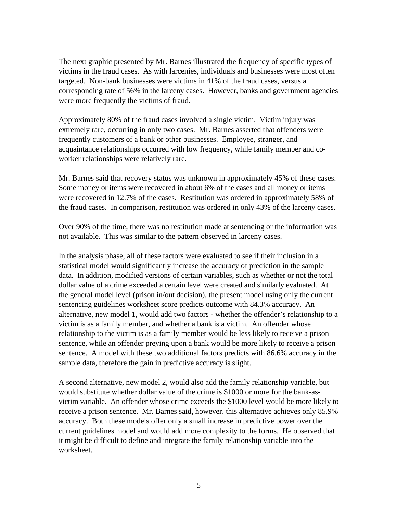The next graphic presented by Mr. Barnes illustrated the frequency of specific types of victims in the fraud cases. As with larcenies, individuals and businesses were most often targeted. Non-bank businesses were victims in 41% of the fraud cases, versus a corresponding rate of 56% in the larceny cases. However, banks and government agencies were more frequently the victims of fraud.

Approximately 80% of the fraud cases involved a single victim. Victim injury was extremely rare, occurring in only two cases. Mr. Barnes asserted that offenders were frequently customers of a bank or other businesses. Employee, stranger, and acquaintance relationships occurred with low frequency, while family member and coworker relationships were relatively rare.

Mr. Barnes said that recovery status was unknown in approximately 45% of these cases. Some money or items were recovered in about 6% of the cases and all money or items were recovered in 12.7% of the cases. Restitution was ordered in approximately 58% of the fraud cases. In comparison, restitution was ordered in only 43% of the larceny cases.

Over 90% of the time, there was no restitution made at sentencing or the information was not available. This was similar to the pattern observed in larceny cases.

In the analysis phase, all of these factors were evaluated to see if their inclusion in a statistical model would significantly increase the accuracy of prediction in the sample data. In addition, modified versions of certain variables, such as whether or not the total dollar value of a crime exceeded a certain level were created and similarly evaluated. At the general model level (prison in/out decision), the present model using only the current sentencing guidelines worksheet score predicts outcome with 84.3% accuracy. An alternative, new model 1, would add two factors - whether the offender's relationship to a victim is as a family member, and whether a bank is a victim. An offender whose relationship to the victim is as a family member would be less likely to receive a prison sentence, while an offender preying upon a bank would be more likely to receive a prison sentence. A model with these two additional factors predicts with 86.6% accuracy in the sample data, therefore the gain in predictive accuracy is slight.

A second alternative, new model 2, would also add the family relationship variable, but would substitute whether dollar value of the crime is \$1000 or more for the bank-asvictim variable. An offender whose crime exceeds the \$1000 level would be more likely to receive a prison sentence. Mr. Barnes said, however, this alternative achieves only 85.9% accuracy. Both these models offer only a small increase in predictive power over the current guidelines model and would add more complexity to the forms. He observed that it might be difficult to define and integrate the family relationship variable into the worksheet.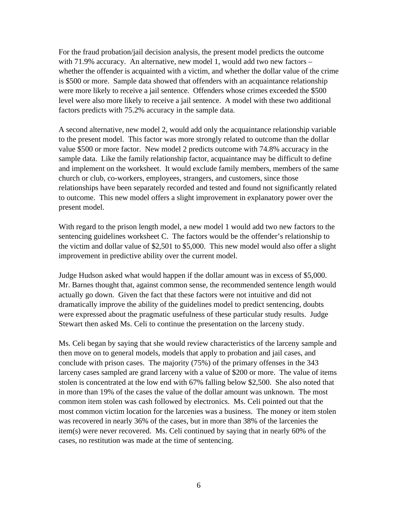For the fraud probation/jail decision analysis, the present model predicts the outcome with 71.9% accuracy. An alternative, new model 1, would add two new factors – whether the offender is acquainted with a victim, and whether the dollar value of the crime is \$500 or more. Sample data showed that offenders with an acquaintance relationship were more likely to receive a jail sentence. Offenders whose crimes exceeded the \$500 level were also more likely to receive a jail sentence. A model with these two additional factors predicts with 75.2% accuracy in the sample data.

A second alternative, new model 2, would add only the acquaintance relationship variable to the present model. This factor was more strongly related to outcome than the dollar value \$500 or more factor. New model 2 predicts outcome with 74.8% accuracy in the sample data. Like the family relationship factor, acquaintance may be difficult to define and implement on the worksheet. It would exclude family members, members of the same church or club, co-workers, employees, strangers, and customers, since those relationships have been separately recorded and tested and found not significantly related to outcome. This new model offers a slight improvement in explanatory power over the present model.

With regard to the prison length model, a new model 1 would add two new factors to the sentencing guidelines worksheet C. The factors would be the offender's relationship to the victim and dollar value of \$2,501 to \$5,000. This new model would also offer a slight improvement in predictive ability over the current model.

Judge Hudson asked what would happen if the dollar amount was in excess of \$5,000. Mr. Barnes thought that, against common sense, the recommended sentence length would actually go down. Given the fact that these factors were not intuitive and did not dramatically improve the ability of the guidelines model to predict sentencing, doubts were expressed about the pragmatic usefulness of these particular study results. Judge Stewart then asked Ms. Celi to continue the presentation on the larceny study.

Ms. Celi began by saying that she would review characteristics of the larceny sample and then move on to general models, models that apply to probation and jail cases, and conclude with prison cases. The majority (75%) of the primary offenses in the 343 larceny cases sampled are grand larceny with a value of \$200 or more. The value of items stolen is concentrated at the low end with 67% falling below \$2,500. She also noted that in more than 19% of the cases the value of the dollar amount was unknown. The most common item stolen was cash followed by electronics. Ms. Celi pointed out that the most common victim location for the larcenies was a business. The money or item stolen was recovered in nearly 36% of the cases, but in more than 38% of the larcenies the item(s) were never recovered. Ms. Celi continued by saying that in nearly 60% of the cases, no restitution was made at the time of sentencing.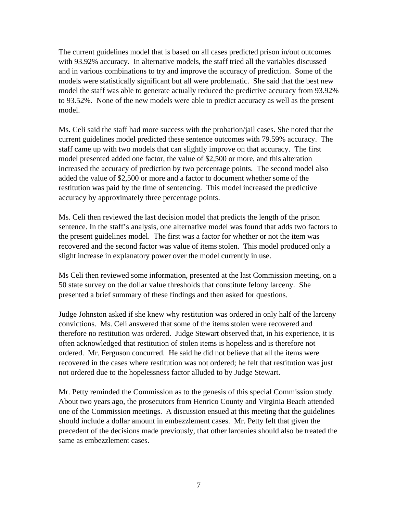The current guidelines model that is based on all cases predicted prison in/out outcomes with 93.92% accuracy. In alternative models, the staff tried all the variables discussed and in various combinations to try and improve the accuracy of prediction. Some of the models were statistically significant but all were problematic. She said that the best new model the staff was able to generate actually reduced the predictive accuracy from 93.92% to 93.52%. None of the new models were able to predict accuracy as well as the present model.

Ms. Celi said the staff had more success with the probation/jail cases. She noted that the current guidelines model predicted these sentence outcomes with 79.59% accuracy. The staff came up with two models that can slightly improve on that accuracy. The first model presented added one factor, the value of \$2,500 or more, and this alteration increased the accuracy of prediction by two percentage points. The second model also added the value of \$2,500 or more and a factor to document whether some of the restitution was paid by the time of sentencing. This model increased the predictive accuracy by approximately three percentage points.

Ms. Celi then reviewed the last decision model that predicts the length of the prison sentence. In the staff's analysis, one alternative model was found that adds two factors to the present guidelines model. The first was a factor for whether or not the item was recovered and the second factor was value of items stolen. This model produced only a slight increase in explanatory power over the model currently in use.

Ms Celi then reviewed some information, presented at the last Commission meeting, on a 50 state survey on the dollar value thresholds that constitute felony larceny. She presented a brief summary of these findings and then asked for questions.

Judge Johnston asked if she knew why restitution was ordered in only half of the larceny convictions. Ms. Celi answered that some of the items stolen were recovered and therefore no restitution was ordered. Judge Stewart observed that, in his experience, it is often acknowledged that restitution of stolen items is hopeless and is therefore not ordered. Mr. Ferguson concurred. He said he did not believe that all the items were recovered in the cases where restitution was not ordered; he felt that restitution was just not ordered due to the hopelessness factor alluded to by Judge Stewart.

Mr. Petty reminded the Commission as to the genesis of this special Commission study. About two years ago, the prosecutors from Henrico County and Virginia Beach attended one of the Commission meetings. A discussion ensued at this meeting that the guidelines should include a dollar amount in embezzlement cases. Mr. Petty felt that given the precedent of the decisions made previously, that other larcenies should also be treated the same as embezzlement cases.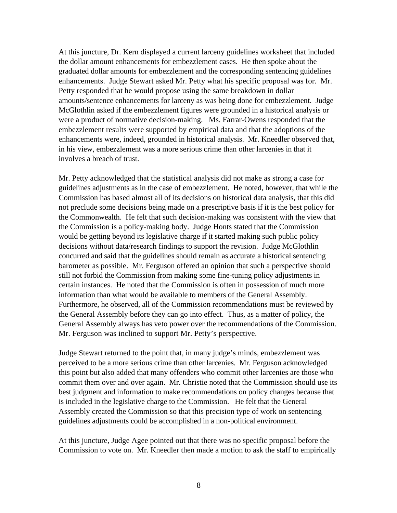At this juncture, Dr. Kern displayed a current larceny guidelines worksheet that included the dollar amount enhancements for embezzlement cases. He then spoke about the graduated dollar amounts for embezzlement and the corresponding sentencing guidelines enhancements. Judge Stewart asked Mr. Petty what his specific proposal was for. Mr. Petty responded that he would propose using the same breakdown in dollar amounts/sentence enhancements for larceny as was being done for embezzlement. Judge McGlothlin asked if the embezzlement figures were grounded in a historical analysis or were a product of normative decision-making. Ms. Farrar-Owens responded that the embezzlement results were supported by empirical data and that the adoptions of the enhancements were, indeed, grounded in historical analysis. Mr. Kneedler observed that, in his view, embezzlement was a more serious crime than other larcenies in that it involves a breach of trust.

Mr. Petty acknowledged that the statistical analysis did not make as strong a case for guidelines adjustments as in the case of embezzlement. He noted, however, that while the Commission has based almost all of its decisions on historical data analysis, that this did not preclude some decisions being made on a prescriptive basis if it is the best policy for the Commonwealth. He felt that such decision-making was consistent with the view that the Commission is a policy-making body. Judge Honts stated that the Commission would be getting beyond its legislative charge if it started making such public policy decisions without data/research findings to support the revision. Judge McGlothlin concurred and said that the guidelines should remain as accurate a historical sentencing barometer as possible. Mr. Ferguson offered an opinion that such a perspective should still not forbid the Commission from making some fine-tuning policy adjustments in certain instances. He noted that the Commission is often in possession of much more information than what would be available to members of the General Assembly. Furthermore, he observed, all of the Commission recommendations must be reviewed by the General Assembly before they can go into effect. Thus, as a matter of policy, the General Assembly always has veto power over the recommendations of the Commission. Mr. Ferguson was inclined to support Mr. Petty's perspective.

Judge Stewart returned to the point that, in many judge's minds, embezzlement was perceived to be a more serious crime than other larcenies. Mr. Ferguson acknowledged this point but also added that many offenders who commit other larcenies are those who commit them over and over again. Mr. Christie noted that the Commission should use its best judgment and information to make recommendations on policy changes because that is included in the legislative charge to the Commission. He felt that the General Assembly created the Commission so that this precision type of work on sentencing guidelines adjustments could be accomplished in a non-political environment.

At this juncture, Judge Agee pointed out that there was no specific proposal before the Commission to vote on. Mr. Kneedler then made a motion to ask the staff to empirically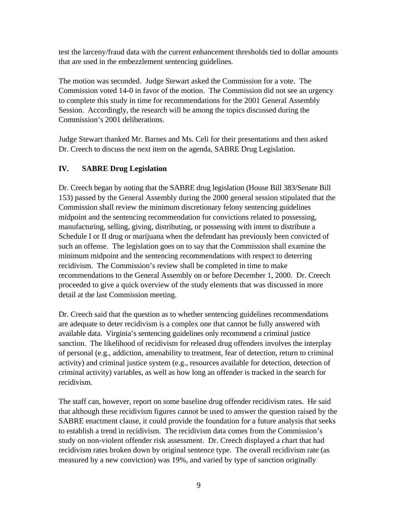test the larceny/fraud data with the current enhancement thresholds tied to dollar amounts that are used in the embezzlement sentencing guidelines.

The motion was seconded. Judge Stewart asked the Commission for a vote. The Commission voted 14-0 in favor of the motion. The Commission did not see an urgency to complete this study in time for recommendations for the 2001 General Assembly Session. Accordingly, the research will be among the topics discussed during the Commission's 2001 deliberations.

Judge Stewart thanked Mr. Barnes and Ms. Celi for their presentations and then asked Dr. Creech to discuss the next item on the agenda, SABRE Drug Legislation.

# **IV. SABRE Drug Legislation**

Dr. Creech began by noting that the SABRE drug legislation (House Bill 383/Senate Bill 153) passed by the General Assembly during the 2000 general session stipulated that the Commission shall review the minimum discretionary felony sentencing guidelines midpoint and the sentencing recommendation for convictions related to possessing, manufacturing, selling, giving, distributing, or possessing with intent to distribute a Schedule I or II drug or marijuana when the defendant has previously been convicted of such an offense. The legislation goes on to say that the Commission shall examine the minimum midpoint and the sentencing recommendations with respect to deterring recidivism. The Commission's review shall be completed in time to make recommendations to the General Assembly on or before December 1, 2000. Dr. Creech proceeded to give a quick overview of the study elements that was discussed in more detail at the last Commission meeting.

Dr. Creech said that the question as to whether sentencing guidelines recommendations are adequate to deter recidivism is a complex one that cannot be fully answered with available data. Virginia's sentencing guidelines only recommend a criminal justice sanction. The likelihood of recidivism for released drug offenders involves the interplay of personal (e.g., addiction, amenability to treatment, fear of detection, return to criminal activity) and criminal justice system (e.g., resources available for detection, detection of criminal activity) variables, as well as how long an offender is tracked in the search for recidivism.

The staff can, however, report on some baseline drug offender recidivism rates. He said that although these recidivism figures cannot be used to answer the question raised by the SABRE enactment clause, it could provide the foundation for a future analysis that seeks to establish a trend in recidivism. The recidivism data comes from the Commission's study on non-violent offender risk assessment. Dr. Creech displayed a chart that had recidivism rates broken down by original sentence type. The overall recidivism rate (as measured by a new conviction) was 19%, and varied by type of sanction originally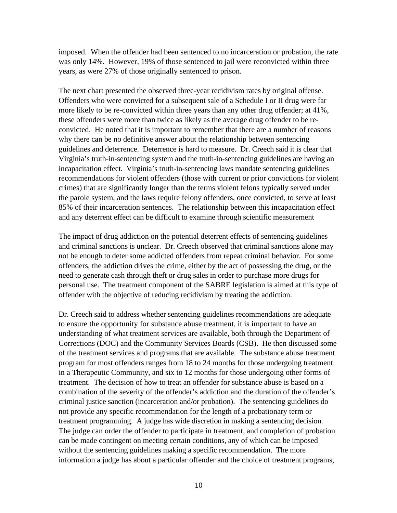imposed. When the offender had been sentenced to no incarceration or probation, the rate was only 14%. However, 19% of those sentenced to jail were reconvicted within three years, as were 27% of those originally sentenced to prison.

The next chart presented the observed three-year recidivism rates by original offense. Offenders who were convicted for a subsequent sale of a Schedule I or II drug were far more likely to be re-convicted within three years than any other drug offender; at 41%, these offenders were more than twice as likely as the average drug offender to be reconvicted. He noted that it is important to remember that there are a number of reasons why there can be no definitive answer about the relationship between sentencing guidelines and deterrence. Deterrence is hard to measure. Dr. Creech said it is clear that Virginia's truth-in-sentencing system and the truth-in-sentencing guidelines are having an incapacitation effect. Virginia's truth-in-sentencing laws mandate sentencing guidelines recommendations for violent offenders (those with current or prior convictions for violent crimes) that are significantly longer than the terms violent felons typically served under the parole system, and the laws require felony offenders, once convicted, to serve at least 85% of their incarceration sentences. The relationship between this incapacitation effect and any deterrent effect can be difficult to examine through scientific measurement

The impact of drug addiction on the potential deterrent effects of sentencing guidelines and criminal sanctions is unclear. Dr. Creech observed that criminal sanctions alone may not be enough to deter some addicted offenders from repeat criminal behavior. For some offenders, the addiction drives the crime, either by the act of possessing the drug, or the need to generate cash through theft or drug sales in order to purchase more drugs for personal use. The treatment component of the SABRE legislation is aimed at this type of offender with the objective of reducing recidivism by treating the addiction.

Dr. Creech said to address whether sentencing guidelines recommendations are adequate to ensure the opportunity for substance abuse treatment, it is important to have an understanding of what treatment services are available, both through the Department of Corrections (DOC) and the Community Services Boards (CSB). He then discussed some of the treatment services and programs that are available. The substance abuse treatment program for most offenders ranges from 18 to 24 months for those undergoing treatment in a Therapeutic Community, and six to 12 months for those undergoing other forms of treatment. The decision of how to treat an offender for substance abuse is based on a combination of the severity of the offender's addiction and the duration of the offender's criminal justice sanction (incarceration and/or probation). The sentencing guidelines do not provide any specific recommendation for the length of a probationary term or treatment programming. A judge has wide discretion in making a sentencing decision. The judge can order the offender to participate in treatment, and completion of probation can be made contingent on meeting certain conditions, any of which can be imposed without the sentencing guidelines making a specific recommendation. The more information a judge has about a particular offender and the choice of treatment programs,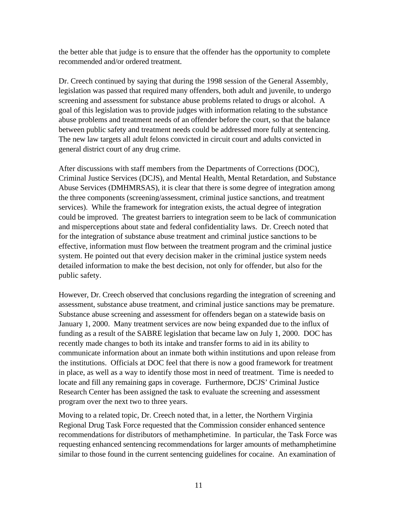the better able that judge is to ensure that the offender has the opportunity to complete recommended and/or ordered treatment.

Dr. Creech continued by saying that during the 1998 session of the General Assembly, legislation was passed that required many offenders, both adult and juvenile, to undergo screening and assessment for substance abuse problems related to drugs or alcohol. A goal of this legislation was to provide judges with information relating to the substance abuse problems and treatment needs of an offender before the court, so that the balance between public safety and treatment needs could be addressed more fully at sentencing. The new law targets all adult felons convicted in circuit court and adults convicted in general district court of any drug crime.

After discussions with staff members from the Departments of Corrections (DOC), Criminal Justice Services (DCJS), and Mental Health, Mental Retardation, and Substance Abuse Services (DMHMRSAS), it is clear that there is some degree of integration among the three components (screening/assessment, criminal justice sanctions, and treatment services). While the framework for integration exists, the actual degree of integration could be improved. The greatest barriers to integration seem to be lack of communication and misperceptions about state and federal confidentiality laws. Dr. Creech noted that for the integration of substance abuse treatment and criminal justice sanctions to be effective, information must flow between the treatment program and the criminal justice system. He pointed out that every decision maker in the criminal justice system needs detailed information to make the best decision, not only for offender, but also for the public safety.

However, Dr. Creech observed that conclusions regarding the integration of screening and assessment, substance abuse treatment, and criminal justice sanctions may be premature. Substance abuse screening and assessment for offenders began on a statewide basis on January 1, 2000. Many treatment services are now being expanded due to the influx of funding as a result of the SABRE legislation that became law on July 1, 2000. DOC has recently made changes to both its intake and transfer forms to aid in its ability to communicate information about an inmate both within institutions and upon release from the institutions. Officials at DOC feel that there is now a good framework for treatment in place, as well as a way to identify those most in need of treatment. Time is needed to locate and fill any remaining gaps in coverage. Furthermore, DCJS' Criminal Justice Research Center has been assigned the task to evaluate the screening and assessment program over the next two to three years.

Moving to a related topic, Dr. Creech noted that, in a letter, the Northern Virginia Regional Drug Task Force requested that the Commission consider enhanced sentence recommendations for distributors of methamphetimine. In particular, the Task Force was requesting enhanced sentencing recommendations for larger amounts of methamphetimine similar to those found in the current sentencing guidelines for cocaine. An examination of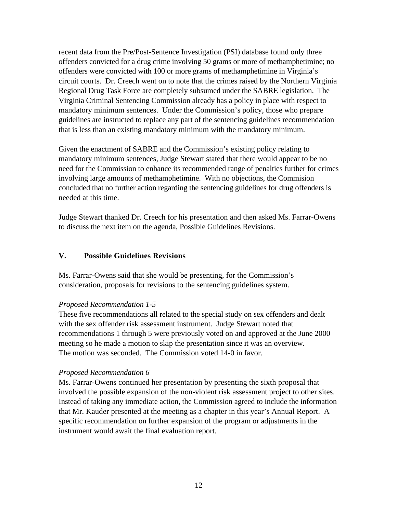recent data from the Pre/Post-Sentence Investigation (PSI) database found only three offenders convicted for a drug crime involving 50 grams or more of methamphetimine; no offenders were convicted with 100 or more grams of methamphetimine in Virginia's circuit courts. Dr. Creech went on to note that the crimes raised by the Northern Virginia Regional Drug Task Force are completely subsumed under the SABRE legislation. The Virginia Criminal Sentencing Commission already has a policy in place with respect to mandatory minimum sentences. Under the Commission's policy, those who prepare guidelines are instructed to replace any part of the sentencing guidelines recommendation that is less than an existing mandatory minimum with the mandatory minimum.

Given the enactment of SABRE and the Commission's existing policy relating to mandatory minimum sentences, Judge Stewart stated that there would appear to be no need for the Commission to enhance its recommended range of penalties further for crimes involving large amounts of methamphetimine. With no objections, the Commision concluded that no further action regarding the sentencing guidelines for drug offenders is needed at this time.

Judge Stewart thanked Dr. Creech for his presentation and then asked Ms. Farrar-Owens to discuss the next item on the agenda, Possible Guidelines Revisions.

# **V. Possible Guidelines Revisions**

Ms. Farrar-Owens said that she would be presenting, for the Commission's consideration, proposals for revisions to the sentencing guidelines system.

## *Proposed Recommendation 1-5*

These five recommendations all related to the special study on sex offenders and dealt with the sex offender risk assessment instrument. Judge Stewart noted that recommendations 1 through 5 were previously voted on and approved at the June 2000 meeting so he made a motion to skip the presentation since it was an overview. The motion was seconded. The Commission voted 14-0 in favor.

## *Proposed Recommendation 6*

Ms. Farrar-Owens continued her presentation by presenting the sixth proposal that involved the possible expansion of the non-violent risk assessment project to other sites. Instead of taking any immediate action, the Commission agreed to include the information that Mr. Kauder presented at the meeting as a chapter in this year's Annual Report. A specific recommendation on further expansion of the program or adjustments in the instrument would await the final evaluation report.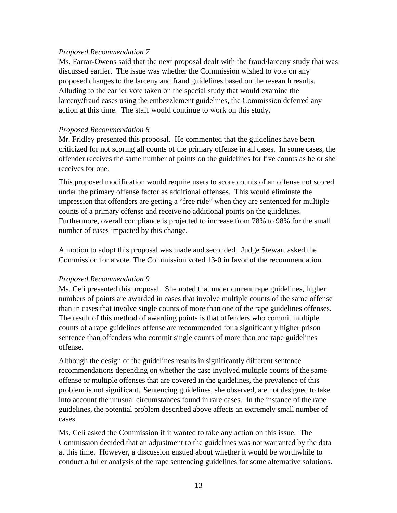## *Proposed Recommendation 7*

Ms. Farrar-Owens said that the next proposal dealt with the fraud/larceny study that was discussed earlier. The issue was whether the Commission wished to vote on any proposed changes to the larceny and fraud guidelines based on the research results. Alluding to the earlier vote taken on the special study that would examine the larceny/fraud cases using the embezzlement guidelines, the Commission deferred any action at this time. The staff would continue to work on this study.

# *Proposed Recommendation 8*

Mr. Fridley presented this proposal. He commented that the guidelines have been criticized for not scoring all counts of the primary offense in all cases. In some cases, the offender receives the same number of points on the guidelines for five counts as he or she receives for one.

This proposed modification would require users to score counts of an offense not scored under the primary offense factor as additional offenses. This would eliminate the impression that offenders are getting a "free ride" when they are sentenced for multiple counts of a primary offense and receive no additional points on the guidelines. Furthermore, overall compliance is projected to increase from 78% to 98% for the small number of cases impacted by this change.

A motion to adopt this proposal was made and seconded. Judge Stewart asked the Commission for a vote. The Commission voted 13-0 in favor of the recommendation.

# *Proposed Recommendation 9*

Ms. Celi presented this proposal. She noted that under current rape guidelines, higher numbers of points are awarded in cases that involve multiple counts of the same offense than in cases that involve single counts of more than one of the rape guidelines offenses. The result of this method of awarding points is that offenders who commit multiple counts of a rape guidelines offense are recommended for a significantly higher prison sentence than offenders who commit single counts of more than one rape guidelines offense.

Although the design of the guidelines results in significantly different sentence recommendations depending on whether the case involved multiple counts of the same offense or multiple offenses that are covered in the guidelines, the prevalence of this problem is not significant. Sentencing guidelines, she observed, are not designed to take into account the unusual circumstances found in rare cases. In the instance of the rape guidelines, the potential problem described above affects an extremely small number of cases.

Ms. Celi asked the Commission if it wanted to take any action on this issue. The Commission decided that an adjustment to the guidelines was not warranted by the data at this time. However, a discussion ensued about whether it would be worthwhile to conduct a fuller analysis of the rape sentencing guidelines for some alternative solutions.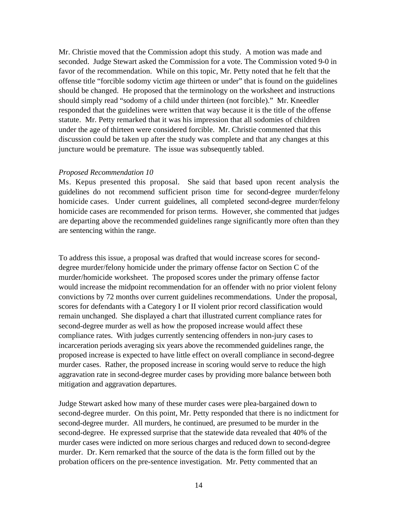Mr. Christie moved that the Commission adopt this study. A motion was made and seconded. Judge Stewart asked the Commission for a vote. The Commission voted 9-0 in favor of the recommendation. While on this topic, Mr. Petty noted that he felt that the offense title "forcible sodomy victim age thirteen or under" that is found on the guidelines should be changed. He proposed that the terminology on the worksheet and instructions should simply read "sodomy of a child under thirteen (not forcible)." Mr. Kneedler responded that the guidelines were written that way because it is the title of the offense statute. Mr. Petty remarked that it was his impression that all sodomies of children under the age of thirteen were considered forcible. Mr. Christie commented that this discussion could be taken up after the study was complete and that any changes at this juncture would be premature. The issue was subsequently tabled.

#### *Proposed Recommendation 10*

Ms. Kepus presented this proposal. She said that based upon recent analysis the guidelines do not recommend sufficient prison time for second-degree murder/felony homicide cases. Under current guidelines, all completed second-degree murder/felony homicide cases are recommended for prison terms. However, she commented that judges are departing above the recommended guidelines range significantly more often than they are sentencing within the range.

To address this issue, a proposal was drafted that would increase scores for seconddegree murder/felony homicide under the primary offense factor on Section C of the murder/homicide worksheet. The proposed scores under the primary offense factor would increase the midpoint recommendation for an offender with no prior violent felony convictions by 72 months over current guidelines recommendations. Under the proposal, scores for defendants with a Category I or II violent prior record classification would remain unchanged. She displayed a chart that illustrated current compliance rates for second-degree murder as well as how the proposed increase would affect these compliance rates. With judges currently sentencing offenders in non-jury cases to incarceration periods averaging six years above the recommended guidelines range, the proposed increase is expected to have little effect on overall compliance in second-degree murder cases. Rather, the proposed increase in scoring would serve to reduce the high aggravation rate in second-degree murder cases by providing more balance between both mitigation and aggravation departures.

Judge Stewart asked how many of these murder cases were plea-bargained down to second-degree murder. On this point, Mr. Petty responded that there is no indictment for second-degree murder. All murders, he continued, are presumed to be murder in the second-degree. He expressed surprise that the statewide data revealed that 40% of the murder cases were indicted on more serious charges and reduced down to second-degree murder. Dr. Kern remarked that the source of the data is the form filled out by the probation officers on the pre-sentence investigation. Mr. Petty commented that an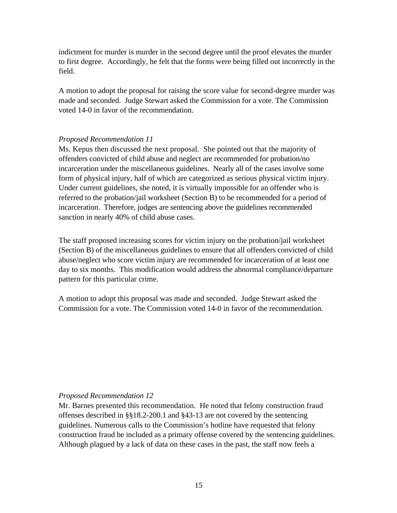indictment for murder is murder in the second degree until the proof elevates the murder to first degree. Accordingly, he felt that the forms were being filled out incorrectly in the field.

A motion to adopt the proposal for raising the score value for second-degree murder was made and seconded. Judge Stewart asked the Commission for a vote. The Commission voted 14-0 in favor of the recommendation.

# *Proposed Recommendation 11*

Ms. Kepus then discussed the next proposal. She pointed out that the majority of offenders convicted of child abuse and neglect are recommended for probation/no incarceration under the miscellaneous guidelines. Nearly all of the cases involve some form of physical injury, half of which are categorized as serious physical victim injury. Under current guidelines, she noted, it is virtually impossible for an offender who is referred to the probation/jail worksheet (Section B) to be recommended for a period of incarceration. Therefore, judges are sentencing above the guidelines recommended sanction in nearly 40% of child abuse cases.

The staff proposed increasing scores for victim injury on the probation/jail worksheet (Section B) of the miscellaneous guidelines to ensure that all offenders convicted of child abuse/neglect who score victim injury are recommended for incarceration of at least one day to six months. This modification would address the abnormal compliance/departure pattern for this particular crime.

A motion to adopt this proposal was made and seconded. Judge Stewart asked the Commission for a vote. The Commission voted 14-0 in favor of the recommendation.

## *Proposed Recommendation 12*

Mr. Barnes presented this recommendation. He noted that felony construction fraud offenses described in §§18.2-200.1 and §43-13 are not covered by the sentencing guidelines. Numerous calls to the Commission's hotline have requested that felony construction fraud be included as a primary offense covered by the sentencing guidelines. Although plagued by a lack of data on these cases in the past, the staff now feels a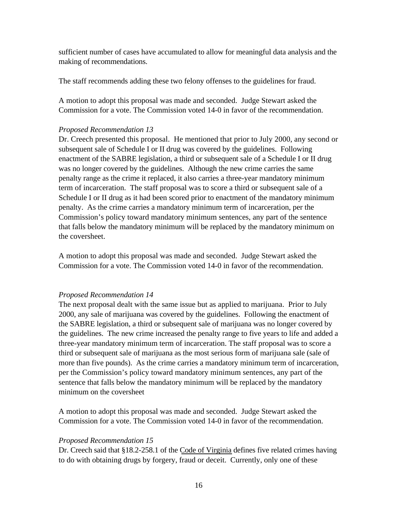sufficient number of cases have accumulated to allow for meaningful data analysis and the making of recommendations.

The staff recommends adding these two felony offenses to the guidelines for fraud.

A motion to adopt this proposal was made and seconded. Judge Stewart asked the Commission for a vote. The Commission voted 14-0 in favor of the recommendation.

# *Proposed Recommendation 13*

Dr. Creech presented this proposal. He mentioned that prior to July 2000, any second or subsequent sale of Schedule I or II drug was covered by the guidelines. Following enactment of the SABRE legislation, a third or subsequent sale of a Schedule I or II drug was no longer covered by the guidelines. Although the new crime carries the same penalty range as the crime it replaced, it also carries a three-year mandatory minimum term of incarceration. The staff proposal was to score a third or subsequent sale of a Schedule I or II drug as it had been scored prior to enactment of the mandatory minimum penalty. As the crime carries a mandatory minimum term of incarceration, per the Commission's policy toward mandatory minimum sentences, any part of the sentence that falls below the mandatory minimum will be replaced by the mandatory minimum on the coversheet.

A motion to adopt this proposal was made and seconded. Judge Stewart asked the Commission for a vote. The Commission voted 14-0 in favor of the recommendation.

# *Proposed Recommendation 14*

The next proposal dealt with the same issue but as applied to marijuana. Prior to July 2000, any sale of marijuana was covered by the guidelines. Following the enactment of the SABRE legislation, a third or subsequent sale of marijuana was no longer covered by the guidelines. The new crime increased the penalty range to five years to life and added a three-year mandatory minimum term of incarceration. The staff proposal was to score a third or subsequent sale of marijuana as the most serious form of marijuana sale (sale of more than five pounds). As the crime carries a mandatory minimum term of incarceration, per the Commission's policy toward mandatory minimum sentences, any part of the sentence that falls below the mandatory minimum will be replaced by the mandatory minimum on the coversheet

A motion to adopt this proposal was made and seconded. Judge Stewart asked the Commission for a vote. The Commission voted 14-0 in favor of the recommendation.

# *Proposed Recommendation 15*

Dr. Creech said that §18.2-258.1 of the Code of Virginia defines five related crimes having to do with obtaining drugs by forgery, fraud or deceit. Currently, only one of these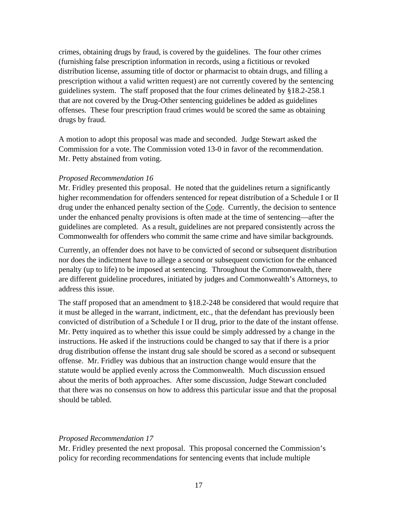crimes, obtaining drugs by fraud, is covered by the guidelines. The four other crimes (furnishing false prescription information in records, using a fictitious or revoked distribution license, assuming title of doctor or pharmacist to obtain drugs, and filling a prescription without a valid written request) are not currently covered by the sentencing guidelines system. The staff proposed that the four crimes delineated by §18.2-258.1 that are not covered by the Drug-Other sentencing guidelines be added as guidelines offenses. These four prescription fraud crimes would be scored the same as obtaining drugs by fraud.

A motion to adopt this proposal was made and seconded. Judge Stewart asked the Commission for a vote. The Commission voted 13-0 in favor of the recommendation. Mr. Petty abstained from voting.

## *Proposed Recommendation 16*

Mr. Fridley presented this proposal. He noted that the guidelines return a significantly higher recommendation for offenders sentenced for repeat distribution of a Schedule I or II drug under the enhanced penalty section of the Code. Currently, the decision to sentence under the enhanced penalty provisions is often made at the time of sentencing—after the guidelines are completed. As a result, guidelines are not prepared consistently across the Commonwealth for offenders who commit the same crime and have similar backgrounds.

Currently, an offender does not have to be convicted of second or subsequent distribution nor does the indictment have to allege a second or subsequent conviction for the enhanced penalty (up to life) to be imposed at sentencing. Throughout the Commonwealth, there are different guideline procedures, initiated by judges and Commonwealth's Attorneys, to address this issue.

The staff proposed that an amendment to §18.2-248 be considered that would require that it must be alleged in the warrant, indictment, etc., that the defendant has previously been convicted of distribution of a Schedule I or II drug, prior to the date of the instant offense. Mr. Petty inquired as to whether this issue could be simply addressed by a change in the instructions. He asked if the instructions could be changed to say that if there is a prior drug distribution offense the instant drug sale should be scored as a second or subsequent offense. Mr. Fridley was dubious that an instruction change would ensure that the statute would be applied evenly across the Commonwealth. Much discussion ensued about the merits of both approaches. After some discussion, Judge Stewart concluded that there was no consensus on how to address this particular issue and that the proposal should be tabled.

#### *Proposed Recommendation 17*

Mr. Fridley presented the next proposal. This proposal concerned the Commission's policy for recording recommendations for sentencing events that include multiple